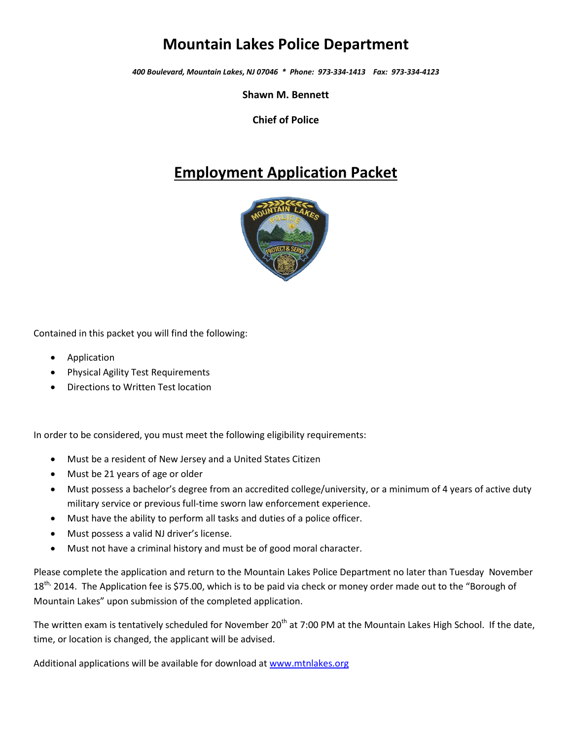# **Mountain Lakes Police Department**

*400 Boulevard, Mountain Lakes, NJ 07046 \* Phone: 973-334-1413 Fax: 973-334-4123*

**Shawn M. Bennett**

**Chief of Police**

# **Employment Application Packet**



Contained in this packet you will find the following:

- Application
- Physical Agility Test Requirements
- Directions to Written Test location

In order to be considered, you must meet the following eligibility requirements:

- Must be a resident of New Jersey and a United States Citizen
- Must be 21 years of age or older
- Must possess a bachelor's degree from an accredited college/university, or a minimum of 4 years of active duty military service or previous full-time sworn law enforcement experience.
- Must have the ability to perform all tasks and duties of a police officer.
- Must possess a valid NJ driver's license.
- Must not have a criminal history and must be of good moral character.

Please complete the application and return to the Mountain Lakes Police Department no later than Tuesday November 18<sup>th,</sup> 2014. The Application fee is \$75.00, which is to be paid via check or money order made out to the "Borough of Mountain Lakes" upon submission of the completed application.

The written exam is tentatively scheduled for November 20<sup>th</sup> at 7:00 PM at the Mountain Lakes High School. If the date, time, or location is changed, the applicant will be advised.

Additional applications will be available for download a[t www.mtnlakes.org](http://www.mtnlakes.org/)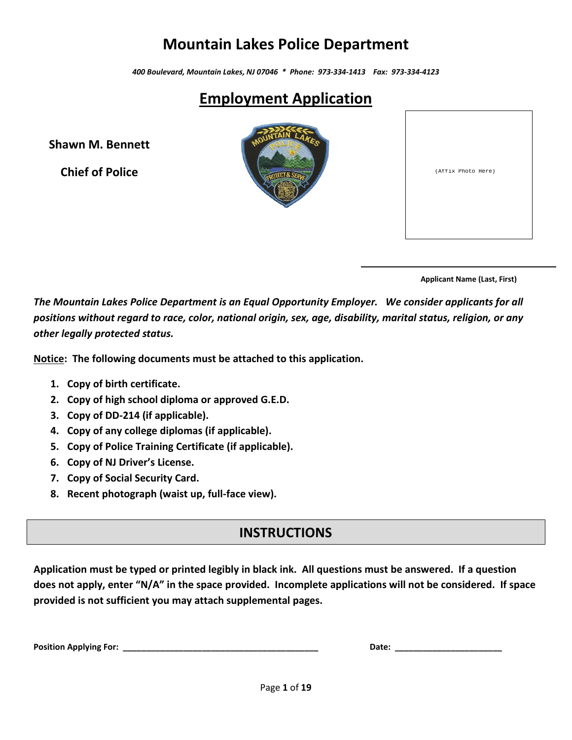# **Mountain Lakes Police Department**

*400 Boulevard, Mountain Lakes, NJ 07046 \* Phone: 973-334-1413 Fax: 973-334-4123*

# **Employment Application**

**Shawn M. Bennett**

**Chief of Police**



| (Affix Photo Here) |  |
|--------------------|--|
|                    |  |

 **Applicant Name (Last, First)**

*The Mountain Lakes Police Department is an Equal Opportunity Employer. We consider applicants for all positions without regard to race, color, national origin, sex, age, disability, marital status, religion, or any other legally protected status.*

**Notice: The following documents must be attached to this application.**

- **1. Copy of birth certificate.**
- **2. Copy of high school diploma or approved G.E.D.**
- **3. Copy of DD-214 (if applicable).**
- **4. Copy of any college diplomas (if applicable).**
- **5. Copy of Police Training Certificate (if applicable).**
- **6. Copy of NJ Driver's License.**
- **7. Copy of Social Security Card.**
- **8. Recent photograph (waist up, full-face view).**

#### **INSTRUCTIONS**

**Application must be typed or printed legibly in black ink. All questions must be answered. If a question does not apply, enter "N/A" in the space provided. Incomplete applications will not be considered. If space provided is not sufficient you may attach supplemental pages.**

| <b>Position Applying For:</b> |  |  |  |  |
|-------------------------------|--|--|--|--|
|-------------------------------|--|--|--|--|

**Pate: \_\_\_\_\_\_\_\_\_\_\_\_\_\_\_\_\_\_\_**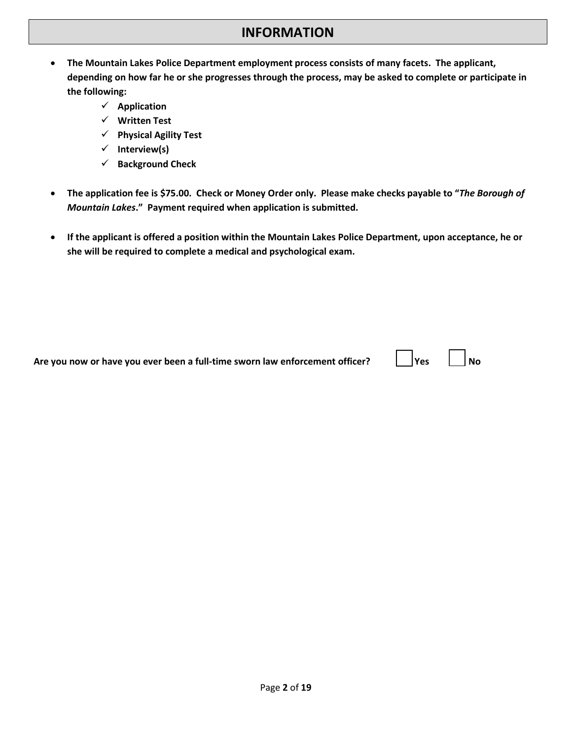- **The Mountain Lakes Police Department employment process consists of many facets. The applicant, depending on how far he or she progresses through the process, may be asked to complete or participate in the following:**
	- **Application**
	- **Written Test**
	- **Physical Agility Test**
	- **Interview(s)**
	- **Background Check**
- **The application fee is \$75.00. Check or Money Order only. Please make checks payable to "***The Borough of Mountain Lakes***." Payment required when application is submitted.**
- **If the applicant is offered a position within the Mountain Lakes Police Department, upon acceptance, he or she will be required to complete a medical and psychological exam.**

| $\Box$ No<br><b>Yes</b><br>Are you now or have you ever been a full-time sworn law enforcement officer? |
|---------------------------------------------------------------------------------------------------------|
|---------------------------------------------------------------------------------------------------------|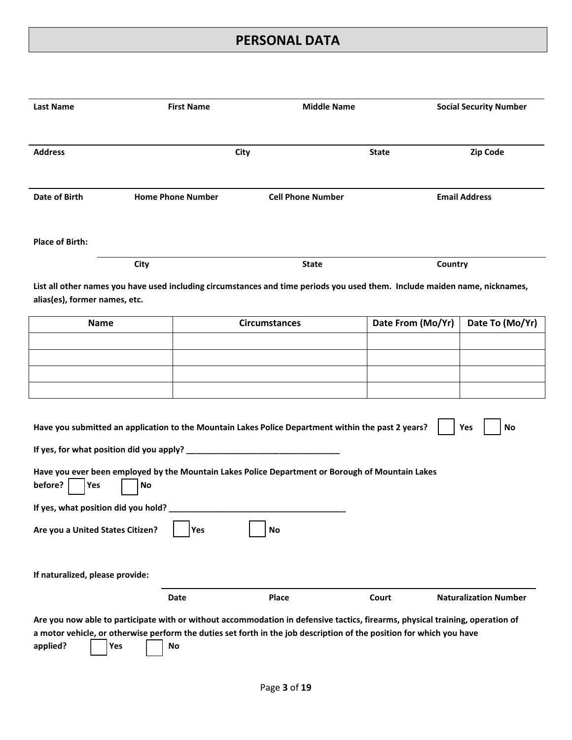#### **PERSONAL DATA**

| <b>Last Name</b>                                                                                                                                                                                                                                                                                                                    | <b>First Name</b>        |                                                                                                                            | <b>Middle Name</b> |                      | <b>Social Security Number</b> |  |  |
|-------------------------------------------------------------------------------------------------------------------------------------------------------------------------------------------------------------------------------------------------------------------------------------------------------------------------------------|--------------------------|----------------------------------------------------------------------------------------------------------------------------|--------------------|----------------------|-------------------------------|--|--|
| <b>Address</b>                                                                                                                                                                                                                                                                                                                      |                          | City                                                                                                                       | <b>State</b>       |                      | Zip Code                      |  |  |
| <b>Date of Birth</b>                                                                                                                                                                                                                                                                                                                | <b>Home Phone Number</b> | <b>Cell Phone Number</b>                                                                                                   |                    | <b>Email Address</b> |                               |  |  |
| <b>Place of Birth:</b>                                                                                                                                                                                                                                                                                                              |                          |                                                                                                                            |                    |                      |                               |  |  |
|                                                                                                                                                                                                                                                                                                                                     | City                     | <b>State</b>                                                                                                               |                    | Country              |                               |  |  |
| alias(es), former names, etc.                                                                                                                                                                                                                                                                                                       |                          | List all other names you have used including circumstances and time periods you used them. Include maiden name, nicknames, |                    |                      |                               |  |  |
| <b>Name</b>                                                                                                                                                                                                                                                                                                                         |                          | <b>Circumstances</b>                                                                                                       |                    | Date From (Mo/Yr)    | Date To (Mo/Yr)               |  |  |
|                                                                                                                                                                                                                                                                                                                                     |                          |                                                                                                                            |                    |                      |                               |  |  |
|                                                                                                                                                                                                                                                                                                                                     |                          |                                                                                                                            |                    |                      |                               |  |  |
|                                                                                                                                                                                                                                                                                                                                     |                          |                                                                                                                            |                    |                      |                               |  |  |
| Have you submitted an application to the Mountain Lakes Police Department within the past 2 years?<br>Yes<br>No<br>Have you ever been employed by the Mountain Lakes Police Department or Borough of Mountain Lakes<br>before?<br>Yes<br>No<br>If yes, what position did you hold?<br>Are you a United States Citizen?<br>Yes<br>No |                          |                                                                                                                            |                    |                      |                               |  |  |
| If naturalized, please provide:                                                                                                                                                                                                                                                                                                     | Date                     | Place                                                                                                                      |                    | Court                | <b>Naturalization Number</b>  |  |  |
| Are you now able to participate with or without accommodation in defensive tactics, firearms, physical training, operation of<br>a motor vehicle, or otherwise perform the duties set forth in the job description of the position for which you have<br>applied?<br>Yes<br>No                                                      |                          |                                                                                                                            |                    |                      |                               |  |  |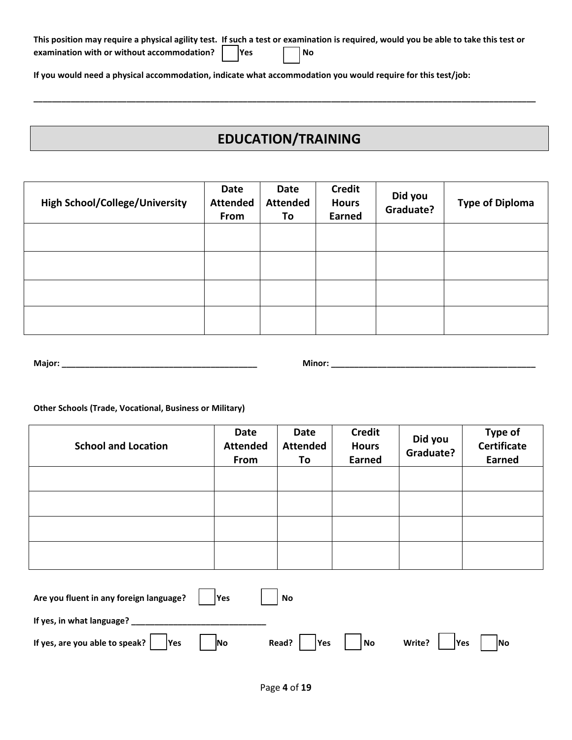|                                                          |  |           | This position may require a physical agility test. If such a test or examination is required, would you be able to take this test or |
|----------------------------------------------------------|--|-----------|--------------------------------------------------------------------------------------------------------------------------------------|
| examination with or without accommodation? $\vert$   Yes |  | $\Box$ No |                                                                                                                                      |

**If you would need a physical accommodation, indicate what accommodation you would require for this test/job:**

# **EDUCATION/TRAINING**

**\_\_\_\_\_\_\_\_\_\_\_\_\_\_\_\_\_\_\_\_\_\_\_\_\_\_\_\_\_\_\_\_\_\_\_\_\_\_\_\_\_\_\_\_\_\_\_\_\_\_\_\_\_\_\_\_\_\_\_\_\_\_\_\_\_\_\_\_\_\_\_\_\_\_\_\_\_\_\_\_\_\_\_\_\_\_\_\_\_\_\_\_\_\_\_\_\_\_\_\_\_\_\_\_\_\_\_\_**

| <b>High School/College/University</b> | Date<br><b>Attended</b><br>From | Date<br><b>Attended</b><br>To | <b>Credit</b><br><b>Hours</b><br>Earned | Did you<br>Graduate? | <b>Type of Diploma</b> |
|---------------------------------------|---------------------------------|-------------------------------|-----------------------------------------|----------------------|------------------------|
|                                       |                                 |                               |                                         |                      |                        |
|                                       |                                 |                               |                                         |                      |                        |
|                                       |                                 |                               |                                         |                      |                        |
|                                       |                                 |                               |                                         |                      |                        |

| Major: |  |
|--------|--|
|        |  |

**Major: \_\_\_\_\_\_\_\_\_\_\_\_\_\_\_\_\_\_\_\_\_\_\_\_\_\_\_\_\_\_\_\_\_\_\_\_\_\_\_\_\_\_ Minor: \_\_\_\_\_\_\_\_\_\_\_\_\_\_\_\_\_\_\_\_\_\_\_\_\_\_\_\_\_\_\_\_\_\_\_\_\_\_\_\_\_\_\_\_**

**Other Schools (Trade, Vocational, Business or Military)**

| <b>School and Location</b> | Date<br><b>Attended</b><br>From | Date<br><b>Attended</b><br>To | <b>Credit</b><br><b>Hours</b><br><b>Earned</b> | Did you<br>Graduate? | <b>Type of</b><br>Certificate<br><b>Earned</b> |
|----------------------------|---------------------------------|-------------------------------|------------------------------------------------|----------------------|------------------------------------------------|
|                            |                                 |                               |                                                |                      |                                                |
|                            |                                 |                               |                                                |                      |                                                |
|                            |                                 |                               |                                                |                      |                                                |
|                            |                                 |                               |                                                |                      |                                                |

| Are you fluent in any foreign language? $ $   Yes   | $ $ No                                          |  |
|-----------------------------------------------------|-------------------------------------------------|--|
| If yes, in what language?                           |                                                 |  |
| If yes, are you able to speak? $\Box$ Yes $\Box$ No | Read? $\Box$ Yes $\Box$ No Write? Yes $\Box$ No |  |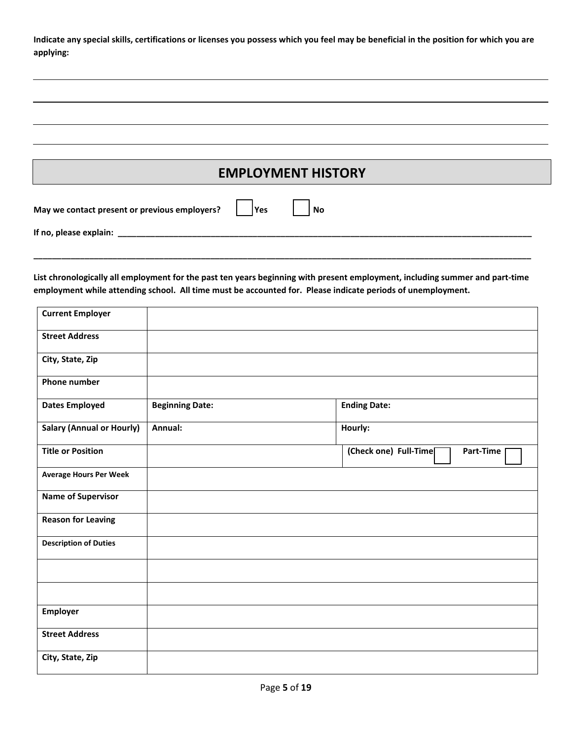**Indicate any special skills, certifications or licenses you possess which you feel may be beneficial in the position for which you are applying:**

| May we contact present or previous employers? | l Yes | <b>No</b> |  |
|-----------------------------------------------|-------|-----------|--|
| If no, please explain:                        |       |           |  |

**List chronologically all employment for the past ten years beginning with present employment, including summer and part-time employment while attending school. All time must be accounted for. Please indicate periods of unemployment.**

**\_\_\_\_\_\_\_\_\_\_\_\_\_\_\_\_\_\_\_\_\_\_\_\_\_\_\_\_\_\_\_\_\_\_\_\_\_\_\_\_\_\_\_\_\_\_\_\_\_\_\_\_\_\_\_\_\_\_\_\_\_\_\_\_\_\_\_\_\_\_\_\_\_\_\_\_\_\_\_\_\_\_\_\_\_\_\_\_\_\_\_\_\_\_\_\_\_\_\_\_\_\_\_\_\_\_\_**

| <b>Current Employer</b>          |                        |                                    |
|----------------------------------|------------------------|------------------------------------|
| <b>Street Address</b>            |                        |                                    |
| City, State, Zip                 |                        |                                    |
| <b>Phone number</b>              |                        |                                    |
| <b>Dates Employed</b>            | <b>Beginning Date:</b> | <b>Ending Date:</b>                |
| <b>Salary (Annual or Hourly)</b> | Annual:                | Hourly:                            |
| <b>Title or Position</b>         |                        | (Check one) Full-Time<br>Part-Time |
| <b>Average Hours Per Week</b>    |                        |                                    |
| <b>Name of Supervisor</b>        |                        |                                    |
| <b>Reason for Leaving</b>        |                        |                                    |
| <b>Description of Duties</b>     |                        |                                    |
|                                  |                        |                                    |
|                                  |                        |                                    |
| <b>Employer</b>                  |                        |                                    |
| <b>Street Address</b>            |                        |                                    |
| City, State, Zip                 |                        |                                    |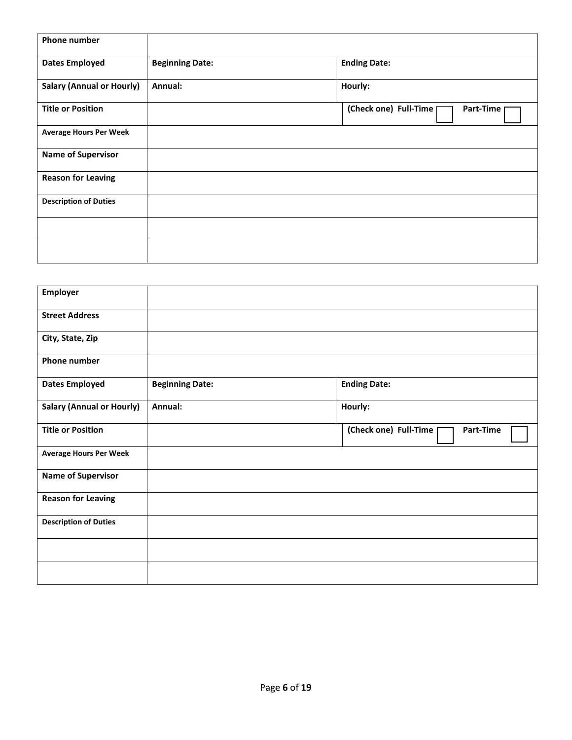| <b>Phone number</b>              |                        |                                    |
|----------------------------------|------------------------|------------------------------------|
| <b>Dates Employed</b>            | <b>Beginning Date:</b> | <b>Ending Date:</b>                |
| <b>Salary (Annual or Hourly)</b> | Annual:                | Hourly:                            |
| <b>Title or Position</b>         |                        | (Check one) Full-Time<br>Part-Time |
| <b>Average Hours Per Week</b>    |                        |                                    |
| <b>Name of Supervisor</b>        |                        |                                    |
| <b>Reason for Leaving</b>        |                        |                                    |
| <b>Description of Duties</b>     |                        |                                    |
|                                  |                        |                                    |
|                                  |                        |                                    |

| Employer                         |                        |                                    |
|----------------------------------|------------------------|------------------------------------|
| <b>Street Address</b>            |                        |                                    |
| City, State, Zip                 |                        |                                    |
| <b>Phone number</b>              |                        |                                    |
| <b>Dates Employed</b>            | <b>Beginning Date:</b> | <b>Ending Date:</b>                |
| <b>Salary (Annual or Hourly)</b> | Annual:                | Hourly:                            |
| <b>Title or Position</b>         |                        | (Check one) Full-Time<br>Part-Time |
| <b>Average Hours Per Week</b>    |                        |                                    |
| <b>Name of Supervisor</b>        |                        |                                    |
| <b>Reason for Leaving</b>        |                        |                                    |
| <b>Description of Duties</b>     |                        |                                    |
|                                  |                        |                                    |
|                                  |                        |                                    |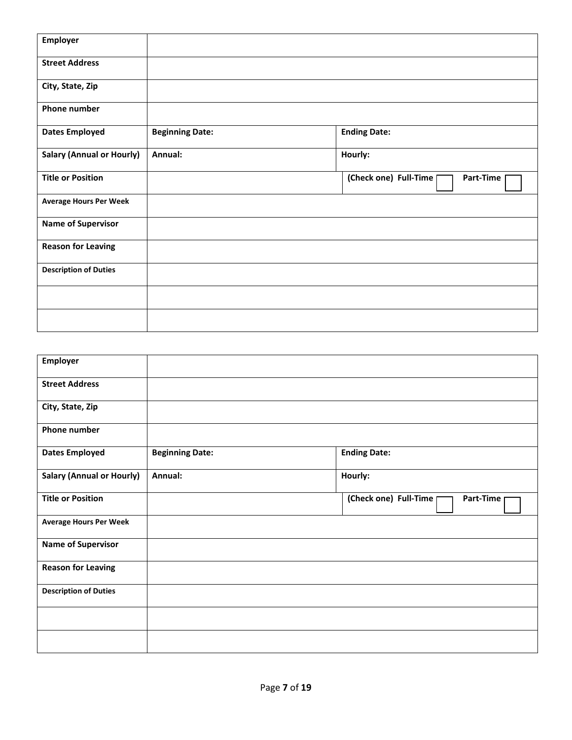| <b>Employer</b>                  |                        |                                      |
|----------------------------------|------------------------|--------------------------------------|
| <b>Street Address</b>            |                        |                                      |
| City, State, Zip                 |                        |                                      |
| Phone number                     |                        |                                      |
| <b>Dates Employed</b>            | <b>Beginning Date:</b> | <b>Ending Date:</b>                  |
| <b>Salary (Annual or Hourly)</b> | Annual:                | Hourly:                              |
| <b>Title or Position</b>         |                        | (Check one) Full-Time  <br>Part-Time |
| <b>Average Hours Per Week</b>    |                        |                                      |
| <b>Name of Supervisor</b>        |                        |                                      |
| <b>Reason for Leaving</b>        |                        |                                      |
| <b>Description of Duties</b>     |                        |                                      |
|                                  |                        |                                      |
|                                  |                        |                                      |

| <b>Employer</b>                  |                        |                                      |
|----------------------------------|------------------------|--------------------------------------|
| <b>Street Address</b>            |                        |                                      |
| City, State, Zip                 |                        |                                      |
| <b>Phone number</b>              |                        |                                      |
| <b>Dates Employed</b>            | <b>Beginning Date:</b> | <b>Ending Date:</b>                  |
| <b>Salary (Annual or Hourly)</b> | Annual:                | Hourly:                              |
| <b>Title or Position</b>         |                        | (Check one) Full-Time  <br>Part-Time |
| <b>Average Hours Per Week</b>    |                        |                                      |
| <b>Name of Supervisor</b>        |                        |                                      |
| <b>Reason for Leaving</b>        |                        |                                      |
| <b>Description of Duties</b>     |                        |                                      |
|                                  |                        |                                      |
|                                  |                        |                                      |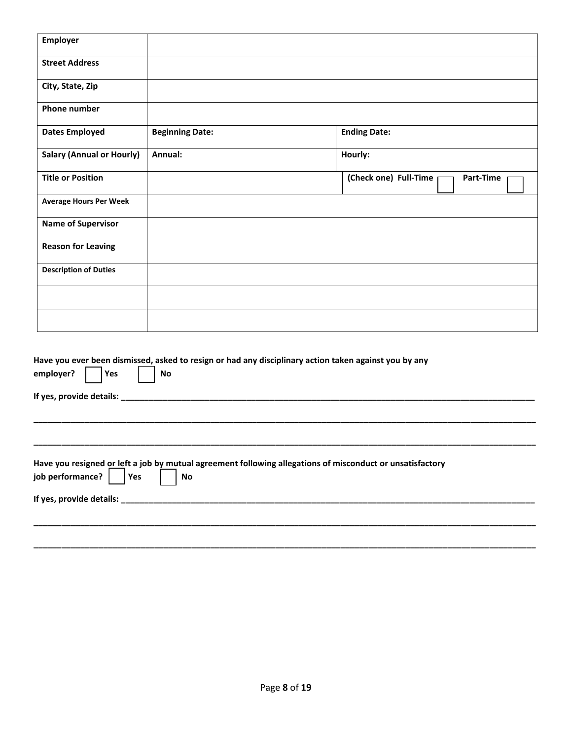| Employer                                       |                        |                                                                                                           |
|------------------------------------------------|------------------------|-----------------------------------------------------------------------------------------------------------|
| <b>Street Address</b>                          |                        |                                                                                                           |
| City, State, Zip                               |                        |                                                                                                           |
| <b>Phone number</b>                            |                        |                                                                                                           |
| <b>Dates Employed</b>                          | <b>Beginning Date:</b> | <b>Ending Date:</b>                                                                                       |
| <b>Salary (Annual or Hourly)</b>               | Annual:                | Hourly:                                                                                                   |
| <b>Title or Position</b>                       |                        | (Check one) Full-Time<br>Part-Time                                                                        |
| <b>Average Hours Per Week</b>                  |                        |                                                                                                           |
| <b>Name of Supervisor</b>                      |                        |                                                                                                           |
| <b>Reason for Leaving</b>                      |                        |                                                                                                           |
| <b>Description of Duties</b>                   |                        |                                                                                                           |
|                                                |                        |                                                                                                           |
|                                                |                        |                                                                                                           |
| employer?<br>Yes<br>If yes, provide details: _ | No                     | Have you ever been dismissed, asked to resign or had any disciplinary action taken against you by any     |
|                                                |                        |                                                                                                           |
| job performance?<br>Yes                        | No                     | Have you resigned or left a job by mutual agreement following allegations of misconduct or unsatisfactory |
|                                                |                        |                                                                                                           |
|                                                |                        |                                                                                                           |

**\_\_\_\_\_\_\_\_\_\_\_\_\_\_\_\_\_\_\_\_\_\_\_\_\_\_\_\_\_\_\_\_\_\_\_\_\_\_\_\_\_\_\_\_\_\_\_\_\_\_\_\_\_\_\_\_\_\_\_\_\_\_\_\_\_\_\_\_\_\_\_\_\_\_\_\_\_\_\_\_\_\_\_\_\_\_\_\_\_\_\_\_\_\_\_\_\_\_\_\_\_\_\_\_\_\_\_\_**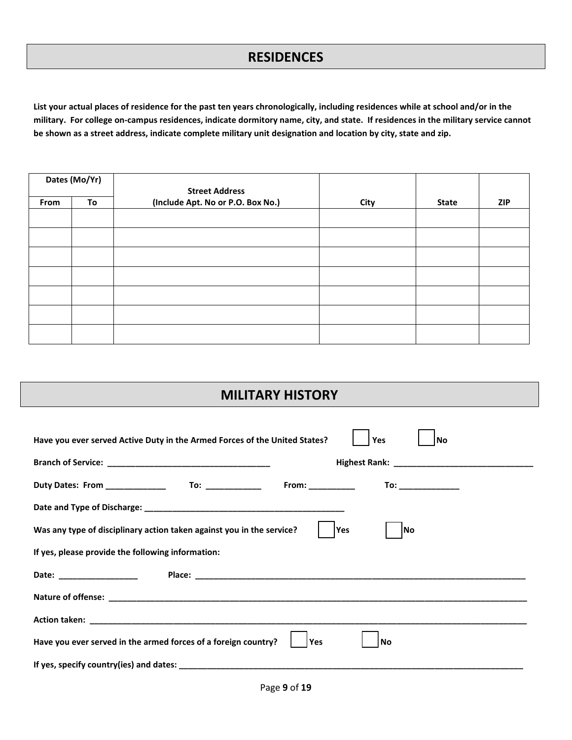#### **RESIDENCES**

**List your actual places of residence for the past ten years chronologically, including residences while at school and/or in the military. For college on-campus residences, indicate dormitory name, city, and state. If residences in the military service cannot be shown as a street address, indicate complete military unit designation and location by city, state and zip.**

|      | Dates (Mo/Yr) | <b>Street Address</b>             |      |              |            |  |
|------|---------------|-----------------------------------|------|--------------|------------|--|
| From | To            | (Include Apt. No or P.O. Box No.) | City | <b>State</b> | <b>ZIP</b> |  |
|      |               |                                   |      |              |            |  |
|      |               |                                   |      |              |            |  |
|      |               |                                   |      |              |            |  |
|      |               |                                   |      |              |            |  |
|      |               |                                   |      |              |            |  |
|      |               |                                   |      |              |            |  |
|      |               |                                   |      |              |            |  |

#### **MILITARY HISTORY**

| Have you ever served Active Duty in the Armed Forces of the United States?       |            | Yes | l No                                        |  |
|----------------------------------------------------------------------------------|------------|-----|---------------------------------------------|--|
|                                                                                  |            |     |                                             |  |
| Duty Dates: From ________________   To: ________________   From: _______________ |            |     | $\begin{tabular}{c} \bf{To:} \end{tabular}$ |  |
|                                                                                  |            |     |                                             |  |
| Was any type of disciplinary action taken against you in the service?            | <b>Yes</b> | lNo |                                             |  |
| If yes, please provide the following information:                                |            |     |                                             |  |
| Date: __________________                                                         |            |     |                                             |  |
|                                                                                  |            |     |                                             |  |
|                                                                                  |            |     |                                             |  |
| Have you ever served in the armed forces of a foreign country?<br>Yes<br>l No    |            |     |                                             |  |
|                                                                                  |            |     |                                             |  |
|                                                                                  |            |     |                                             |  |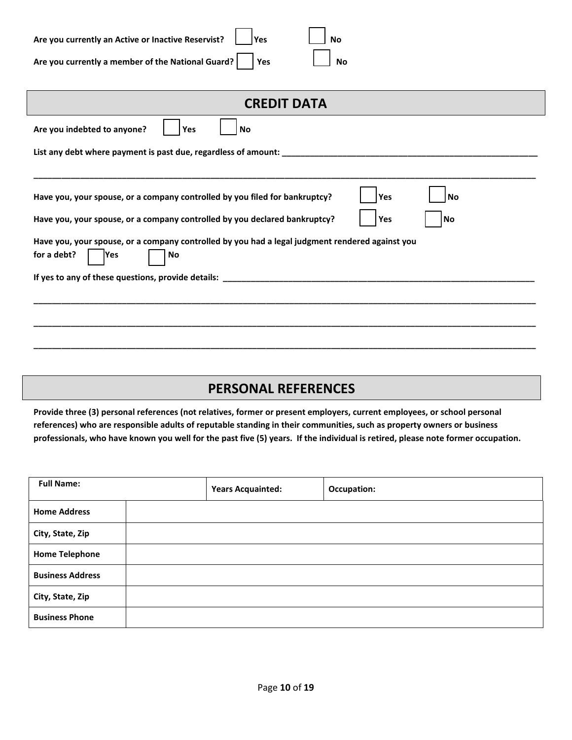| Are you currently an Active or Inactive Reservist?     Yes |  | $\vert$ $\vert$ No |                    |
|------------------------------------------------------------|--|--------------------|--------------------|
| Are you currently a member of the National Guard?   Yes    |  |                    | $\vert$ $\vert$ No |

| <b>CREDIT DATA</b>                                                                                                           |  |  |  |
|------------------------------------------------------------------------------------------------------------------------------|--|--|--|
| Are you indebted to anyone?<br>Yes<br>No                                                                                     |  |  |  |
|                                                                                                                              |  |  |  |
|                                                                                                                              |  |  |  |
| Have you, your spouse, or a company controlled by you filed for bankruptcy?<br>Yes<br>No                                     |  |  |  |
| Have you, your spouse, or a company controlled by you declared bankruptcy?<br>Yes<br>No                                      |  |  |  |
| Have you, your spouse, or a company controlled by you had a legal judgment rendered against you<br>for a debt?<br>No<br>lYes |  |  |  |
|                                                                                                                              |  |  |  |
|                                                                                                                              |  |  |  |
|                                                                                                                              |  |  |  |
|                                                                                                                              |  |  |  |

## **PERSONAL REFERENCES**

**Provide three (3) personal references (not relatives, former or present employers, current employees, or school personal references) who are responsible adults of reputable standing in their communities, such as property owners or business professionals, who have known you well for the past five (5) years. If the individual is retired, please note former occupation.** 

| <b>Full Name:</b>       | <b>Years Acquainted:</b> | Occupation: |
|-------------------------|--------------------------|-------------|
| <b>Home Address</b>     |                          |             |
| City, State, Zip        |                          |             |
| <b>Home Telephone</b>   |                          |             |
| <b>Business Address</b> |                          |             |
| City, State, Zip        |                          |             |
| <b>Business Phone</b>   |                          |             |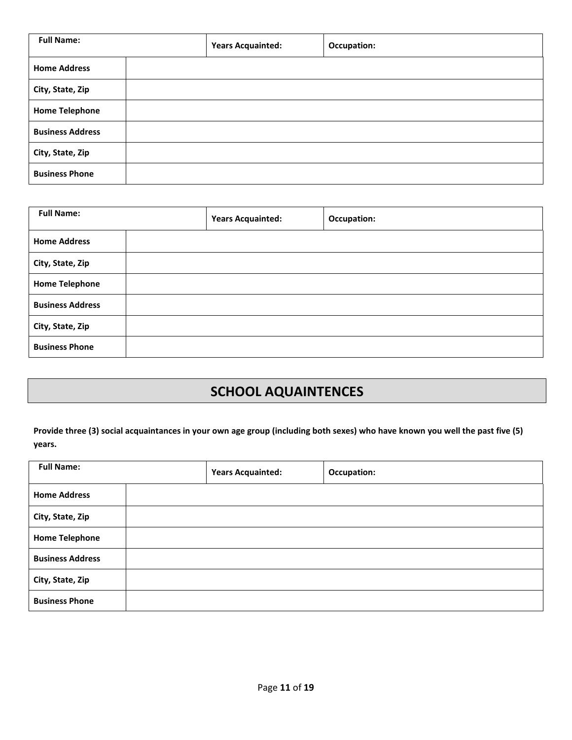| <b>Full Name:</b>       | <b>Years Acquainted:</b> | Occupation: |
|-------------------------|--------------------------|-------------|
| <b>Home Address</b>     |                          |             |
| City, State, Zip        |                          |             |
| <b>Home Telephone</b>   |                          |             |
| <b>Business Address</b> |                          |             |
| City, State, Zip        |                          |             |
| <b>Business Phone</b>   |                          |             |

| <b>Full Name:</b>       | <b>Years Acquainted:</b> | <b>Occupation:</b> |
|-------------------------|--------------------------|--------------------|
| <b>Home Address</b>     |                          |                    |
| City, State, Zip        |                          |                    |
| <b>Home Telephone</b>   |                          |                    |
| <b>Business Address</b> |                          |                    |
| City, State, Zip        |                          |                    |
| <b>Business Phone</b>   |                          |                    |

# **SCHOOL AQUAINTENCES**

**Provide three (3) social acquaintances in your own age group (including both sexes) who have known you well the past five (5) years.**

| <b>Full Name:</b>       |  | <b>Years Acquainted:</b> | <b>Occupation:</b> |
|-------------------------|--|--------------------------|--------------------|
| <b>Home Address</b>     |  |                          |                    |
| City, State, Zip        |  |                          |                    |
| <b>Home Telephone</b>   |  |                          |                    |
| <b>Business Address</b> |  |                          |                    |
| City, State, Zip        |  |                          |                    |
| <b>Business Phone</b>   |  |                          |                    |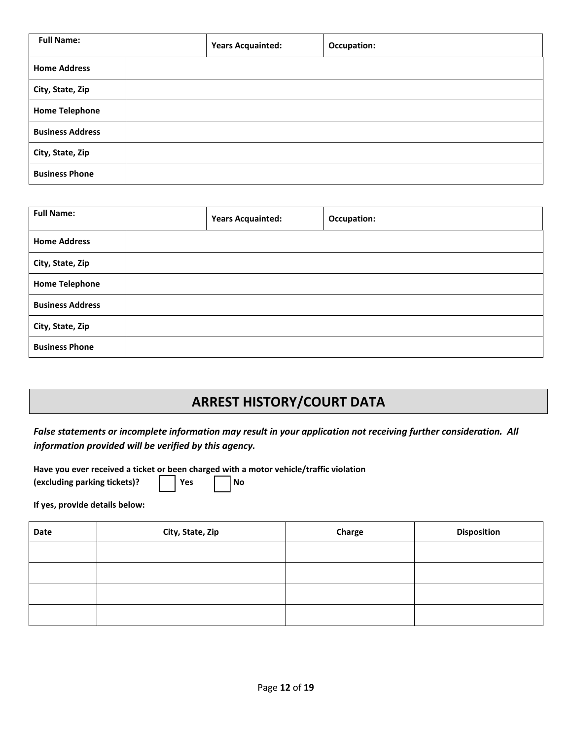| <b>Full Name:</b>       |  | <b>Years Acquainted:</b> | <b>Occupation:</b> |
|-------------------------|--|--------------------------|--------------------|
| <b>Home Address</b>     |  |                          |                    |
| City, State, Zip        |  |                          |                    |
| <b>Home Telephone</b>   |  |                          |                    |
| <b>Business Address</b> |  |                          |                    |
| City, State, Zip        |  |                          |                    |
| <b>Business Phone</b>   |  |                          |                    |

| <b>Full Name:</b>       |  | <b>Years Acquainted:</b> | Occupation: |
|-------------------------|--|--------------------------|-------------|
| <b>Home Address</b>     |  |                          |             |
| City, State, Zip        |  |                          |             |
| <b>Home Telephone</b>   |  |                          |             |
| <b>Business Address</b> |  |                          |             |
| City, State, Zip        |  |                          |             |
| <b>Business Phone</b>   |  |                          |             |

# **ARREST HISTORY/COURT DATA**

*False statements or incomplete information may result in your application not receiving further consideration. All information provided will be verified by this agency.*

**Have you ever received a ticket or been charged with a motor vehicle/traffic violation** 

| (excluding parking tickets)? |  | l Yes |  | l No |
|------------------------------|--|-------|--|------|
|------------------------------|--|-------|--|------|

**If yes, provide details below:**

| Date | City, State, Zip | Charge | <b>Disposition</b> |
|------|------------------|--------|--------------------|
|      |                  |        |                    |
|      |                  |        |                    |
|      |                  |        |                    |
|      |                  |        |                    |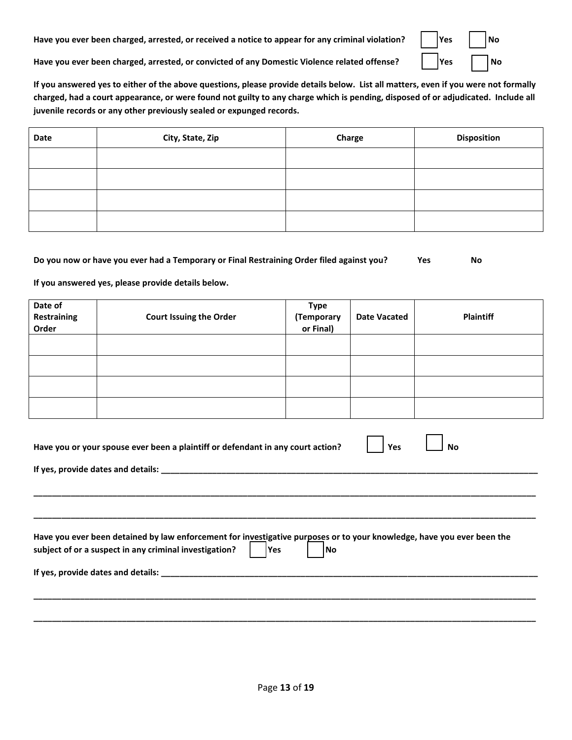Have you ever been charged, arrested, or received a notice to appear for any criminal violation?

| Yes | <b>No</b>  |
|-----|------------|
| Yes | $\epsilon$ |

 $\blacksquare$ 

**Have you ever been charged, arrested, or convicted of any Domestic Violence related offense? Yes No**

**If you answered yes to either of the above questions, please provide details below. List all matters, even if you were not formally charged, had a court appearance, or were found not guilty to any charge which is pending, disposed of or adjudicated. Include all juvenile records or any other previously sealed or expunged records.**

| Date | City, State, Zip | Charge | <b>Disposition</b> |
|------|------------------|--------|--------------------|
|      |                  |        |                    |
|      |                  |        |                    |
|      |                  |        |                    |
|      |                  |        |                    |

#### **Do you now or have you ever had a Temporary or Final Restraining Order filed against you? Yes No**

**If you answered yes, please provide details below.** 

| Date of<br><b>Restraining</b><br>Order | <b>Court Issuing the Order</b> | <b>Type</b><br>(Temporary<br>or Final) | <b>Date Vacated</b> | <b>Plaintiff</b> |
|----------------------------------------|--------------------------------|----------------------------------------|---------------------|------------------|
|                                        |                                |                                        |                     |                  |
|                                        |                                |                                        |                     |                  |
|                                        |                                |                                        |                     |                  |
|                                        |                                |                                        |                     |                  |

| Have you or your spouse ever been a plaintiff or defendant in any court action?<br>Yes<br>No                                                                                                           |
|--------------------------------------------------------------------------------------------------------------------------------------------------------------------------------------------------------|
|                                                                                                                                                                                                        |
|                                                                                                                                                                                                        |
|                                                                                                                                                                                                        |
| Have you ever been detained by law enforcement for investigative purposes or to your knowledge, have you ever been the<br>subject of or a suspect in any criminal investigation?<br><b>Yes</b><br>l No |
|                                                                                                                                                                                                        |
|                                                                                                                                                                                                        |
|                                                                                                                                                                                                        |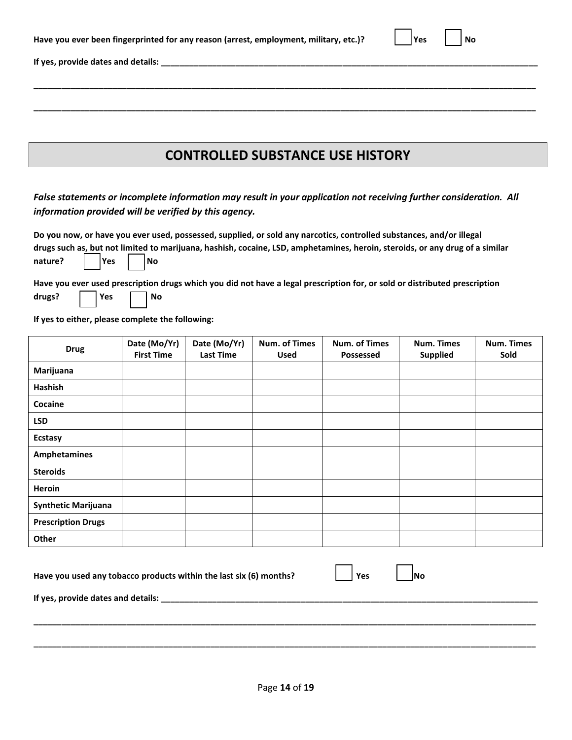| Have you ever been fingerprinted for any reason (arrest, employment, military, etc.)? |  | Yes |  | l No |
|---------------------------------------------------------------------------------------|--|-----|--|------|
|---------------------------------------------------------------------------------------|--|-----|--|------|

**If yes, provide dates and details: \_\_\_\_\_\_\_\_\_\_\_\_\_\_\_\_\_\_\_\_\_\_\_\_\_\_\_\_\_\_\_\_\_\_\_\_\_\_\_\_\_\_\_\_\_\_\_\_\_\_\_\_\_\_\_\_\_\_\_\_\_\_\_\_\_\_\_\_\_\_\_\_\_\_\_\_\_\_\_\_\_**

#### **CONTROLLED SUBSTANCE USE HISTORY**

**\_\_\_\_\_\_\_\_\_\_\_\_\_\_\_\_\_\_\_\_\_\_\_\_\_\_\_\_\_\_\_\_\_\_\_\_\_\_\_\_\_\_\_\_\_\_\_\_\_\_\_\_\_\_\_\_\_\_\_\_\_\_\_\_\_\_\_\_\_\_\_\_\_\_\_\_\_\_\_\_\_\_\_\_\_\_\_\_\_\_\_\_\_\_\_\_\_\_\_\_\_\_\_\_\_\_\_\_**

**\_\_\_\_\_\_\_\_\_\_\_\_\_\_\_\_\_\_\_\_\_\_\_\_\_\_\_\_\_\_\_\_\_\_\_\_\_\_\_\_\_\_\_\_\_\_\_\_\_\_\_\_\_\_\_\_\_\_\_\_\_\_\_\_\_\_\_\_\_\_\_\_\_\_\_\_\_\_\_\_\_\_\_\_\_\_\_\_\_\_\_\_\_\_\_\_\_\_\_\_\_\_\_\_\_\_\_\_**

*False statements or incomplete information may result in your application not receiving further consideration. All information provided will be verified by this agency.*

**Do you now, or have you ever used, possessed, supplied, or sold any narcotics, controlled substances, and/or illegal drugs such as, but not limited to marijuana, hashish, cocaine, LSD, amphetamines, heroin, steroids, or any drug of a similar**  nature? | | Yes | | No

**Have you ever used prescription drugs which you did not have a legal prescription for, or sold or distributed prescription**  drugs? | | Yes | | No

**If yes to either, please complete the following:**

| <b>Drug</b>                | Date (Mo/Yr)<br><b>First Time</b> | Date (Mo/Yr)<br><b>Last Time</b> | Num. of Times<br><b>Used</b> | Num. of Times<br>Possessed | <b>Num. Times</b><br><b>Supplied</b> | Num. Times<br>Sold |
|----------------------------|-----------------------------------|----------------------------------|------------------------------|----------------------------|--------------------------------------|--------------------|
| Marijuana                  |                                   |                                  |                              |                            |                                      |                    |
| Hashish                    |                                   |                                  |                              |                            |                                      |                    |
| Cocaine                    |                                   |                                  |                              |                            |                                      |                    |
| <b>LSD</b>                 |                                   |                                  |                              |                            |                                      |                    |
| <b>Ecstasy</b>             |                                   |                                  |                              |                            |                                      |                    |
| <b>Amphetamines</b>        |                                   |                                  |                              |                            |                                      |                    |
| <b>Steroids</b>            |                                   |                                  |                              |                            |                                      |                    |
| Heroin                     |                                   |                                  |                              |                            |                                      |                    |
| <b>Synthetic Marijuana</b> |                                   |                                  |                              |                            |                                      |                    |
| <b>Prescription Drugs</b>  |                                   |                                  |                              |                            |                                      |                    |
| Other                      |                                   |                                  |                              |                            |                                      |                    |
|                            |                                   |                                  |                              |                            |                                      |                    |

| Have you used any tobacco products within the last six (6) months? | l Yes | $\blacksquare$ No |  |
|--------------------------------------------------------------------|-------|-------------------|--|
|                                                                    |       |                   |  |

**If yes, provide dates and details: \_\_\_\_\_\_\_\_\_\_\_\_\_\_\_\_\_\_\_\_\_\_\_\_\_\_\_\_\_\_\_\_\_\_\_\_\_\_\_\_\_\_\_\_\_\_\_\_\_\_\_\_\_\_\_\_\_\_\_\_\_\_\_\_\_\_\_\_\_\_\_\_\_\_\_\_\_\_\_\_\_**

**\_\_\_\_\_\_\_\_\_\_\_\_\_\_\_\_\_\_\_\_\_\_\_\_\_\_\_\_\_\_\_\_\_\_\_\_\_\_\_\_\_\_\_\_\_\_\_\_\_\_\_\_\_\_\_\_\_\_\_\_\_\_\_\_\_\_\_\_\_\_\_\_\_\_\_\_\_\_\_\_\_\_\_\_\_\_\_\_\_\_\_\_\_\_\_\_\_\_\_\_\_\_\_\_\_\_\_\_**

**\_\_\_\_\_\_\_\_\_\_\_\_\_\_\_\_\_\_\_\_\_\_\_\_\_\_\_\_\_\_\_\_\_\_\_\_\_\_\_\_\_\_\_\_\_\_\_\_\_\_\_\_\_\_\_\_\_\_\_\_\_\_\_\_\_\_\_\_\_\_\_\_\_\_\_\_\_\_\_\_\_\_\_\_\_\_\_\_\_\_\_\_\_\_\_\_\_\_\_\_\_\_\_\_\_\_\_\_**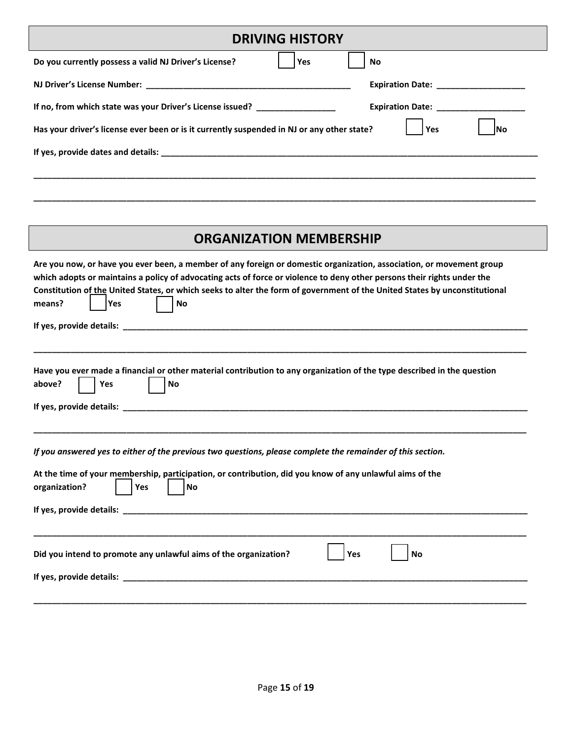| <b>DRIVING HISTORY</b>                                                                                                                                                                                                                                                                                                  |  |  |
|-------------------------------------------------------------------------------------------------------------------------------------------------------------------------------------------------------------------------------------------------------------------------------------------------------------------------|--|--|
| Do you currently possess a valid NJ Driver's License?<br>Yes<br>No                                                                                                                                                                                                                                                      |  |  |
| Expiration Date: ___________________                                                                                                                                                                                                                                                                                    |  |  |
| If no, from which state was your Driver's License issued? ______________________<br><b>Expiration Date:</b> The state of the state of the state of the state of the state of the state of the state of the state of the state of the state of the state of the state of the state of the state of the state of the stat |  |  |
| Has your driver's license ever been or is it currently suspended in NJ or any other state?<br>Yes<br>lNo                                                                                                                                                                                                                |  |  |
|                                                                                                                                                                                                                                                                                                                         |  |  |
|                                                                                                                                                                                                                                                                                                                         |  |  |
|                                                                                                                                                                                                                                                                                                                         |  |  |

#### **ORGANIZATION MEMBERSHIP**

**\_\_\_\_\_\_\_\_\_\_\_\_\_\_\_\_\_\_\_\_\_\_\_\_\_\_\_\_\_\_\_\_\_\_\_\_\_\_\_\_\_\_\_\_\_\_\_\_\_\_\_\_\_\_\_\_\_\_\_\_\_\_\_\_\_\_\_\_\_\_\_\_\_\_\_\_\_\_\_\_\_\_\_\_\_\_\_\_\_\_\_\_\_\_\_\_\_\_\_\_\_\_\_\_\_\_\_\_**

| Are you now, or have you ever been, a member of any foreign or domestic organization, association, or movement group<br>which adopts or maintains a policy of advocating acts of force or violence to deny other persons their rights under the<br>Constitution of the United States, or which seeks to alter the form of government of the United States by unconstitutional<br>means?<br>No<br>Yes |
|------------------------------------------------------------------------------------------------------------------------------------------------------------------------------------------------------------------------------------------------------------------------------------------------------------------------------------------------------------------------------------------------------|
|                                                                                                                                                                                                                                                                                                                                                                                                      |
| Have you ever made a financial or other material contribution to any organization of the type described in the question<br>above?<br>Yes<br><b>No</b>                                                                                                                                                                                                                                                |
| If you answered yes to either of the previous two questions, please complete the remainder of this section.<br>At the time of your membership, participation, or contribution, did you know of any unlawful aims of the<br>organization?<br>Yes<br><b>No</b>                                                                                                                                         |
| Did you intend to promote any unlawful aims of the organization?<br><b>Yes</b><br><b>No</b>                                                                                                                                                                                                                                                                                                          |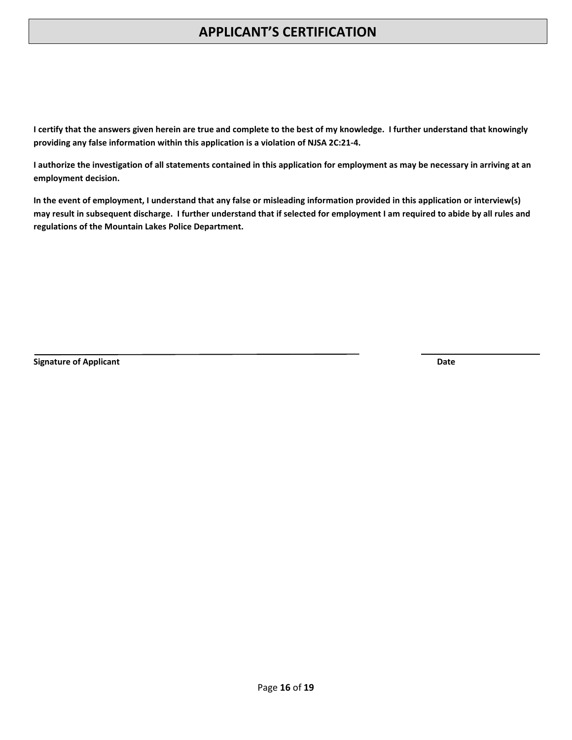## **APPLICANT'S CERTIFICATION**

**I certify that the answers given herein are true and complete to the best of my knowledge. I further understand that knowingly providing any false information within this application is a violation of NJSA 2C:21-4.** 

**I authorize the investigation of all statements contained in this application for employment as may be necessary in arriving at an employment decision.**

**In the event of employment, I understand that any false or misleading information provided in this application or interview(s) may result in subsequent discharge. I further understand that if selected for employment I am required to abide by all rules and regulations of the Mountain Lakes Police Department.**

**Signature of Applicant Date**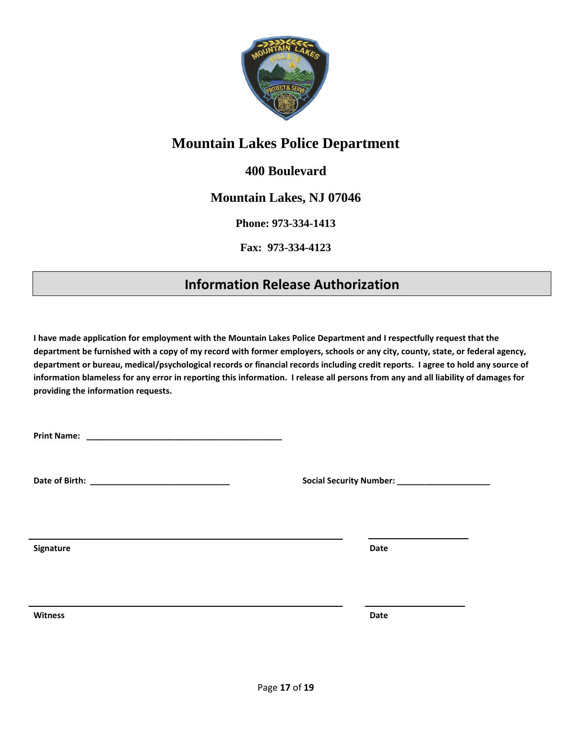

# **Mountain Lakes Police Department**

#### **400 Boulevard**

#### **Mountain Lakes, NJ 07046**

**Phone: 973-334-1413**

**Fax: 973-334-4123**

# **Information Release Authorization**

**I have made application for employment with the Mountain Lakes Police Department and I respectfully request that the department be furnished with a copy of my record with former employers, schools or any city, county, state, or federal agency, department or bureau, medical/psychological records or financial records including credit reports. I agree to hold any source of information blameless for any error in reporting this information. I release all persons from any and all liability of damages for providing the information requests.**

**Print Name: \_\_\_\_\_\_\_\_\_\_\_\_\_\_\_\_\_\_\_\_\_\_\_\_\_\_\_\_\_\_\_\_\_\_\_\_\_\_\_\_\_\_**

**Date of Birth: \_\_\_\_\_\_\_\_\_\_\_\_\_\_\_\_\_\_\_\_\_\_\_\_\_\_\_\_\_\_ Social Security Number: \_\_\_\_\_\_\_\_\_\_\_\_\_\_\_\_\_\_\_\_**

**Signature Date**

**Witness Date**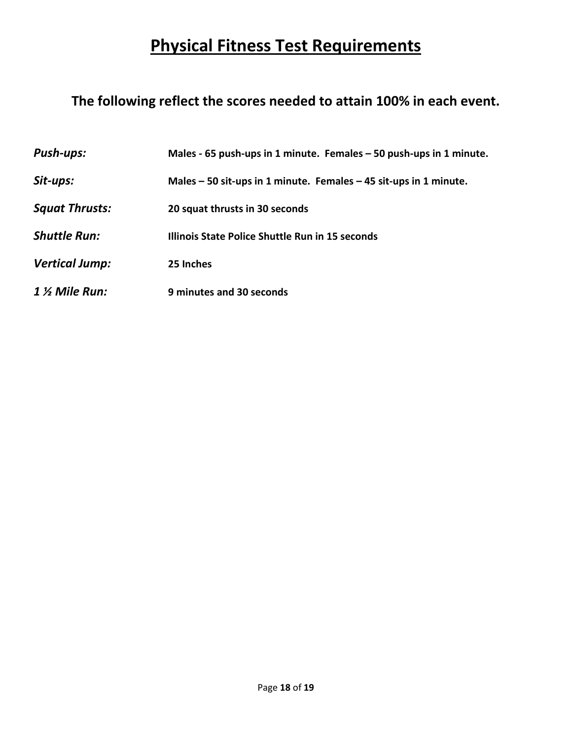# **Physical Fitness Test Requirements**

# **The following reflect the scores needed to attain 100% in each event.**

| <b>Push-ups:</b>      | Males - 65 push-ups in 1 minute. Females - 50 push-ups in 1 minute. |
|-----------------------|---------------------------------------------------------------------|
| Sit-ups:              | Males $-50$ sit-ups in 1 minute. Females $-45$ sit-ups in 1 minute. |
| <b>Squat Thrusts:</b> | 20 squat thrusts in 30 seconds                                      |
| <b>Shuttle Run:</b>   | Illinois State Police Shuttle Run in 15 seconds                     |
| <b>Vertical Jump:</b> | 25 Inches                                                           |
| $1$ % Mile Run:       | 9 minutes and 30 seconds                                            |